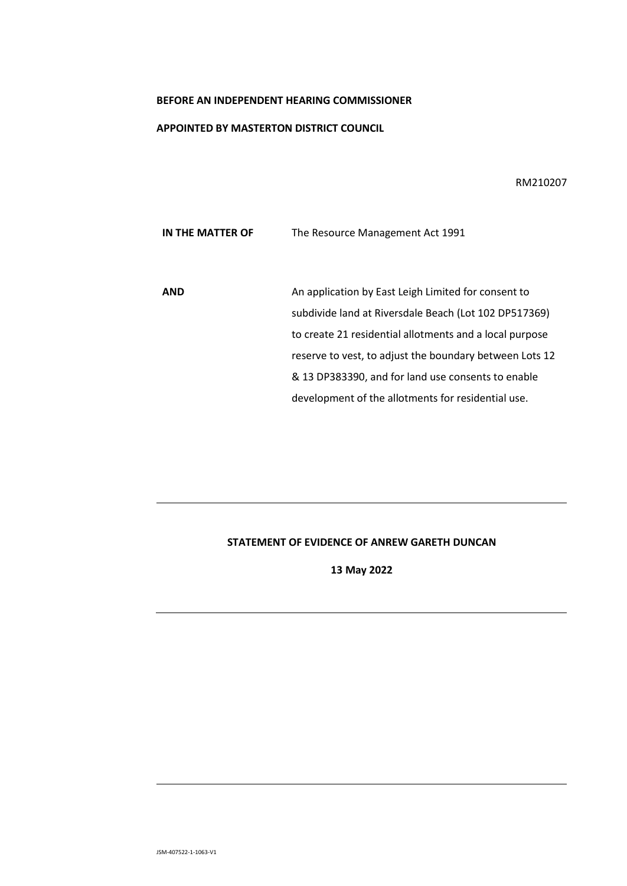### **BEFORE AN INDEPENDENT HEARING COMMISSIONER**

### **APPOINTED BY MASTERTON DISTRICT COUNCIL**

RM210207

**IN THE MATTER OF The Resource Management Act 1991** 

**AND** An application by East Leigh Limited for consent to subdivide land at Riversdale Beach (Lot 102 DP517369) to create 21 residential allotments and a local purpose reserve to vest, to adjust the boundary between Lots 12 & 13 DP383390, and for land use consents to enable development of the allotments for residential use.

# **STATEMENT OF EVIDENCE OF ANREW GARETH DUNCAN**

**13 May 2022**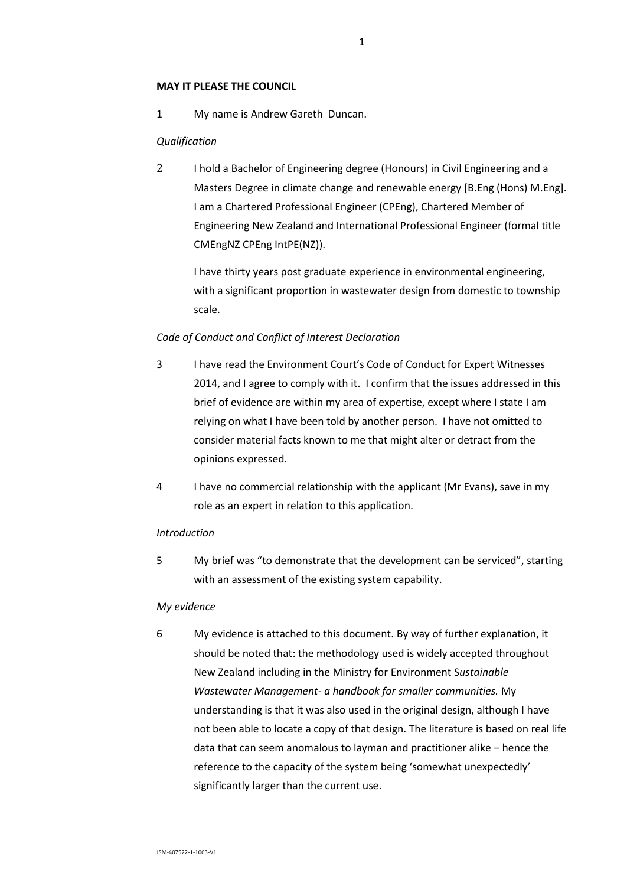## **MAY IT PLEASE THE COUNCIL**

1 My name is Andrew Gareth Duncan.

## *Qualification*

2 I hold a Bachelor of Engineering degree (Honours) in Civil Engineering and a Masters Degree in climate change and renewable energy [B.Eng (Hons) M.Eng]. I am a Chartered Professional Engineer (CPEng), Chartered Member of Engineering New Zealand and International Professional Engineer (formal title CMEngNZ CPEng IntPE(NZ)).

I have thirty years post graduate experience in environmental engineering, with a significant proportion in wastewater design from domestic to township scale.

## *Code of Conduct and Conflict of Interest Declaration*

- 3 I have read the Environment Court's Code of Conduct for Expert Witnesses 2014, and I agree to comply with it. I confirm that the issues addressed in this brief of evidence are within my area of expertise, except where I state I am relying on what I have been told by another person. I have not omitted to consider material facts known to me that might alter or detract from the opinions expressed.
- 4 I have no commercial relationship with the applicant (Mr Evans), save in my role as an expert in relation to this application.

### *Introduction*

5 My brief was "to demonstrate that the development can be serviced", starting with an assessment of the existing system capability.

### *My evidence*

6 My evidence is attached to this document. By way of further explanation, it should be noted that: the methodology used is widely accepted throughout New Zealand including in the Ministry for Environment S*ustainable Wastewater Management- a handbook for smaller communities.* My understanding is that it was also used in the original design, although I have not been able to locate a copy of that design. The literature is based on real life data that can seem anomalous to layman and practitioner alike – hence the reference to the capacity of the system being 'somewhat unexpectedly' significantly larger than the current use.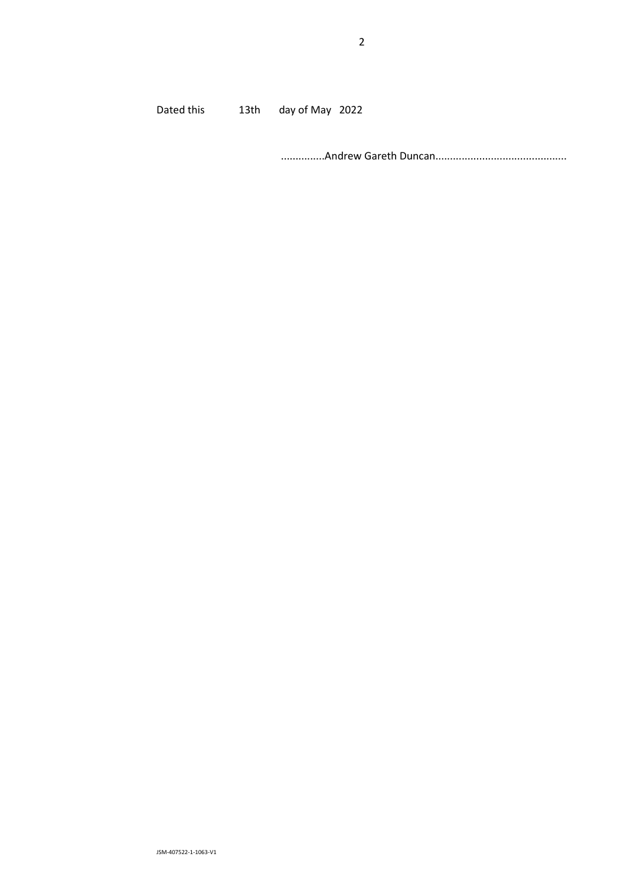Dated this 13th day of May 2022

...............Andrew Gareth Duncan.............................................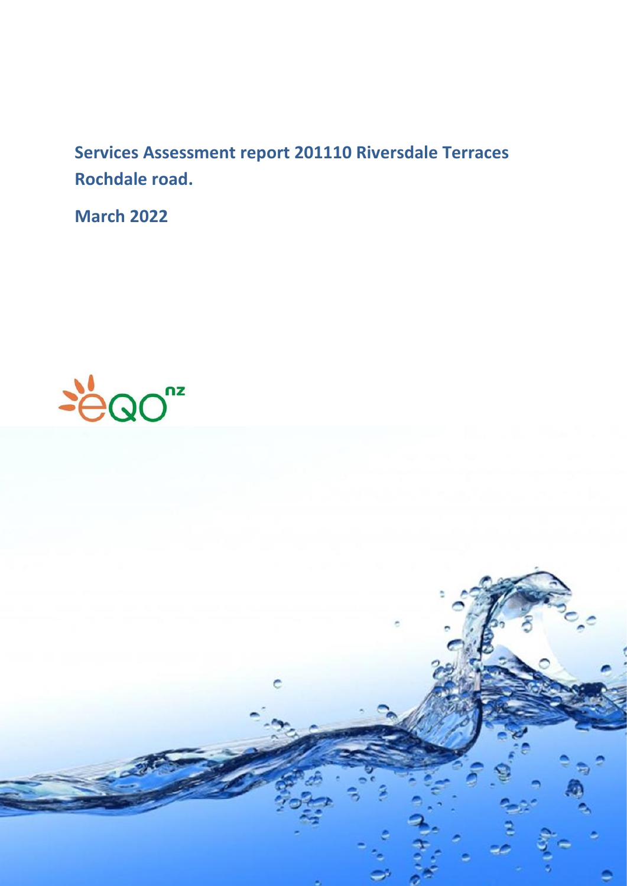**Services Assessment report 201110 Riversdale Terraces Rochdale road.**

**March 2022**



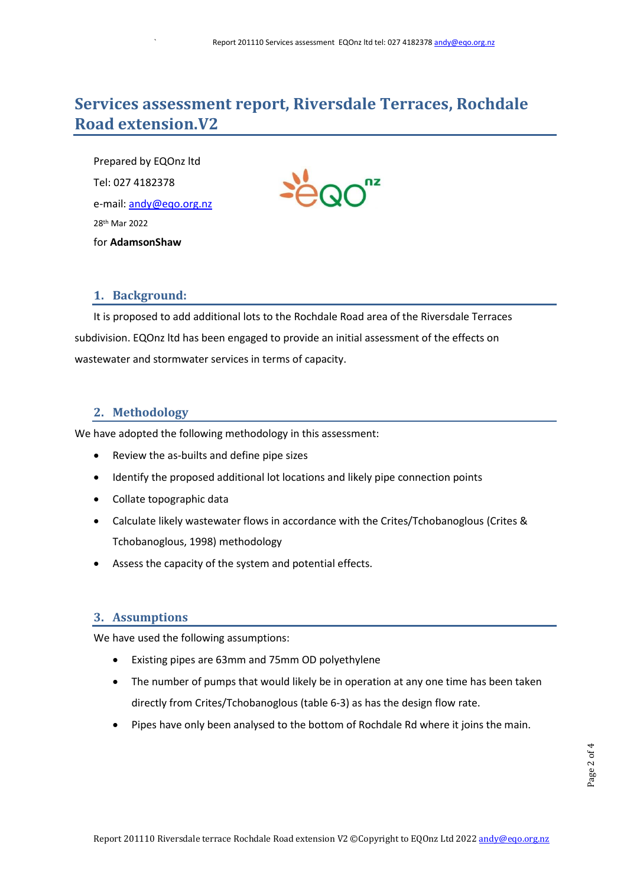# **Services assessment report, Riversdale Terraces, Rochdale Road extension.V2**

Prepared by EQOnz ltd Tel: 027 4182378 e-mail: [andy@eqo.org.nz](mailto:andy@eqo.org.nz) 28 th Mar 2022 for **AdamsonShaw**

# **1. Background:**

It is proposed to add additional lots to the Rochdale Road area of the Riversdale Terraces subdivision. EQOnz ltd has been engaged to provide an initial assessment of the effects on wastewater and stormwater services in terms of capacity.

# **2. Methodology**

We have adopted the following methodology in this assessment:

- Review the as-builts and define pipe sizes
- Identify the proposed additional lot locations and likely pipe connection points
- Collate topographic data
- Calculate likely wastewater flows in accordance with the Crites/Tchobanoglous (Crites & Tchobanoglous, 1998) methodology
- Assess the capacity of the system and potential effects.

# **3. Assumptions**

We have used the following assumptions:

- Existing pipes are 63mm and 75mm OD polyethylene
- The number of pumps that would likely be in operation at any one time has been taken directly from Crites/Tchobanoglous (table 6-3) as has the design flow rate.
- Pipes have only been analysed to the bottom of Rochdale Rd where it joins the main.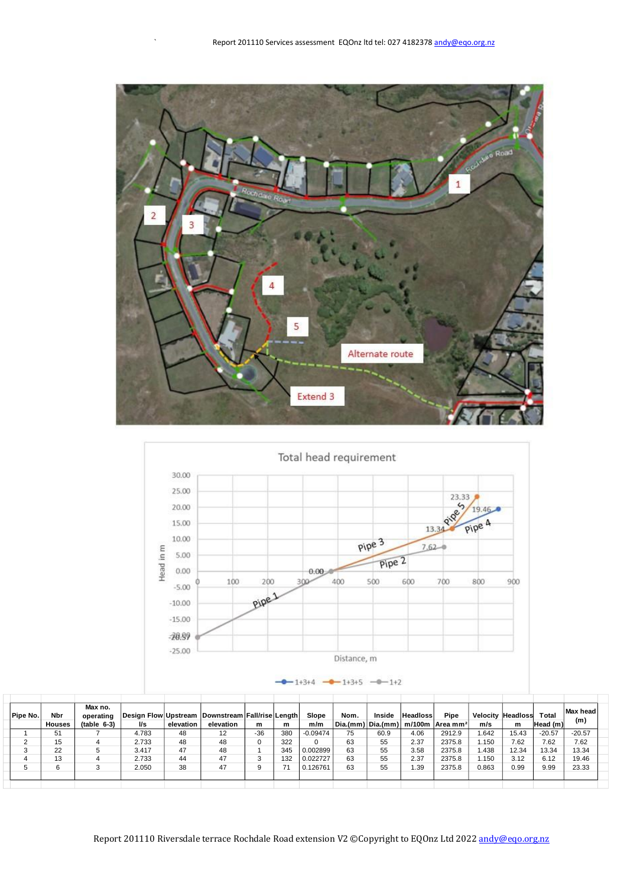



 $-$ 0 - 1+3+4 - 0 - 1+3+5 - 0 - 1+2

| Pipe No. | Nbr<br><b>Houses</b> | Max no.<br>operating<br>$(table 6-3)$ | l/s   | elevation | Design Flow Upstream Downstream Fall/rise Length<br>elevation | m     | m   | Slope<br>m/m | Nom. | Inside | <b>Headloss</b> | Pipe<br>Dia.(mm) Dia.(mm) m/100m Area mm <sup>2</sup> | <b>Velocity Headloss</b><br>m/s | m     | Total<br>Head (m) | Max head<br>(m) |  |
|----------|----------------------|---------------------------------------|-------|-----------|---------------------------------------------------------------|-------|-----|--------------|------|--------|-----------------|-------------------------------------------------------|---------------------------------|-------|-------------------|-----------------|--|
|          | 51                   |                                       | 4.783 | 48        | 12                                                            | $-36$ | 380 | $-0.09474$   | 75   | 60.9   | 4.06            | 2912.9                                                | i.642                           | 15.43 | $-20.57$          | $-20.57$        |  |
|          | 15                   |                                       | 2.733 | 48        | 48                                                            |       | 322 |              | 63   | 55     | 2.37            | 2375.8                                                | 1.150                           | 7.62  | 7.62              | 7.62            |  |
|          | 22                   |                                       | 3.417 | 47        | 48                                                            |       | 345 | 0.002899     | 63   | 55     | 3.58            | 2375.8                                                | i.438                           | 12.34 | 13.34             | 13.34           |  |
|          | 13                   |                                       | 2.733 | 44        | 47                                                            |       | 132 | 0.022727     | 63   | 55     | 2.37            | 2375.8                                                | 1.150                           | 3.12  | 6.12              | 19.46           |  |
|          |                      |                                       | 2.050 | 38        | 47                                                            |       |     | 0.126761     | 63   | 55     | 1.39            | 2375.8                                                | 0.863                           | 0.99  | 9.99              | 23.33           |  |
|          |                      |                                       |       |           |                                                               |       |     |              |      |        |                 |                                                       |                                 |       |                   |                 |  |
|          |                      |                                       |       |           |                                                               |       |     |              |      |        |                 |                                                       |                                 |       |                   |                 |  |